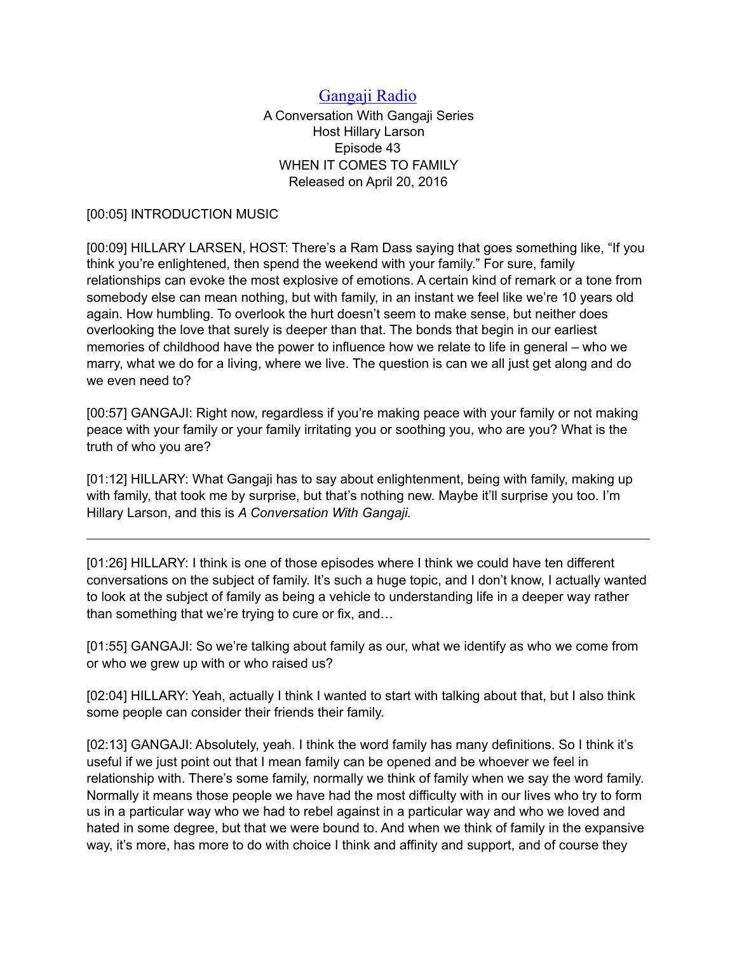## [Gangaji Radio](https://gangaji.org/podcast-library/)

A Conversation With Gangaji Series Host Hillary Larson Episode 43 WHEN IT COMES TO FAMILY Released on April 20, 2016

## [00:05] INTRODUCTION MUSIC

[00:09] HILLARY LARSEN, HOST: There's a Ram Dass saying that goes something like, "If you think you're enlightened, then spend the weekend with your family." For sure, family relationships can evoke the most explosive of emotions. A certain kind of remark or a tone from somebody else can mean nothing, but with family, in an instant we feel like we're 10 years old again. How humbling. To overlook the hurt doesn't seem to make sense, but neither does overlooking the love that surely is deeper than that. The bonds that begin in our earliest memories of childhood have the power to influence how we relate to life in general – who we marry, what we do for a living, where we live. The question is can we all just get along and do we even need to?

[00:57] GANGAJI: Right now, regardless if you're making peace with your family or not making peace with your family or your family irritating you or soothing you, who are you? What is the truth of who you are?

[01:12] HILLARY: What Gangaji has to say about enlightenment, being with family, making up with family, that took me by surprise, but that's nothing new. Maybe it'll surprise you too. I'm Hillary Larson, and this is *A Conversation With Gangaji.*

[01:26] HILLARY: I think is one of those episodes where I think we could have ten different conversations on the subject of family. It's such a huge topic, and I don't know, I actually wanted to look at the subject of family as being a vehicle to understanding life in a deeper way rather than something that we're trying to cure or fix, and…

[01:55] GANGAJI: So we're talking about family as our, what we identify as who we come from or who we grew up with or who raised us?

[02:04] HILLARY: Yeah, actually I think I wanted to start with talking about that, but I also think some people can consider their friends their family.

[02:13] GANGAJI: Absolutely, yeah. I think the word family has many definitions. So I think it's useful if we just point out that I mean family can be opened and be whoever we feel in relationship with. There's some family, normally we think of family when we say the word family. Normally it means those people we have had the most difficulty with in our lives who try to form us in a particular way who we had to rebel against in a particular way and who we loved and hated in some degree, but that we were bound to. And when we think of family in the expansive way, it's more, has more to do with choice I think and affinity and support, and of course they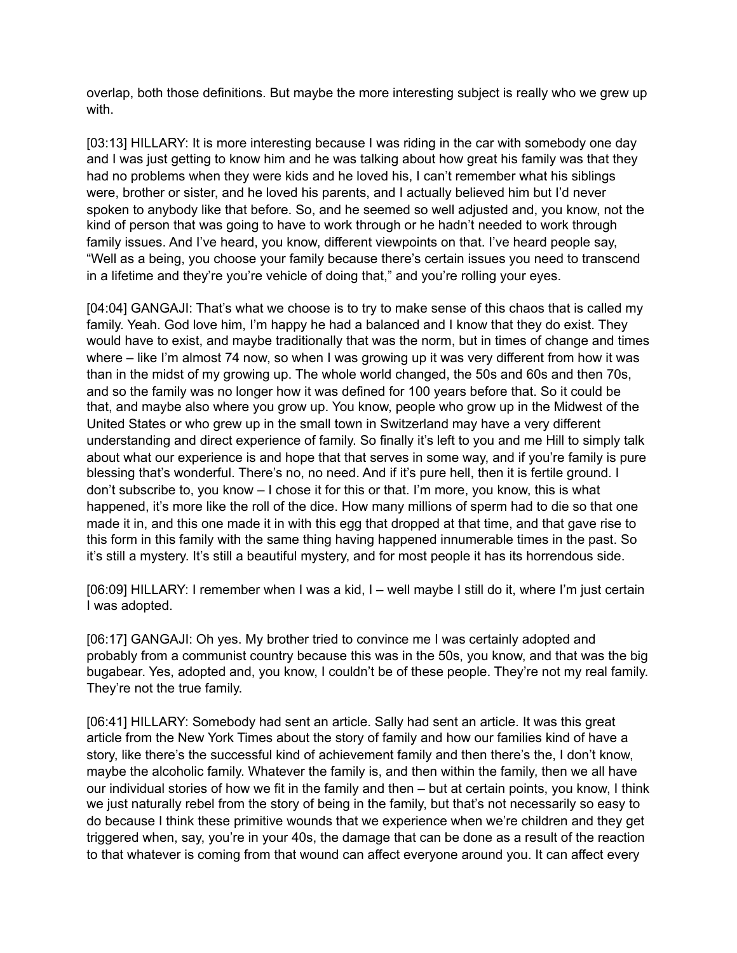overlap, both those definitions. But maybe the more interesting subject is really who we grew up with.

[03:13] HILLARY: It is more interesting because I was riding in the car with somebody one day and I was just getting to know him and he was talking about how great his family was that they had no problems when they were kids and he loved his, I can't remember what his siblings were, brother or sister, and he loved his parents, and I actually believed him but I'd never spoken to anybody like that before. So, and he seemed so well adjusted and, you know, not the kind of person that was going to have to work through or he hadn't needed to work through family issues. And I've heard, you know, different viewpoints on that. I've heard people say, "Well as a being, you choose your family because there's certain issues you need to transcend in a lifetime and they're you're vehicle of doing that," and you're rolling your eyes.

[04:04] GANGAJI: That's what we choose is to try to make sense of this chaos that is called my family. Yeah. God love him, I'm happy he had a balanced and I know that they do exist. They would have to exist, and maybe traditionally that was the norm, but in times of change and times where – like I'm almost 74 now, so when I was growing up it was very different from how it was than in the midst of my growing up. The whole world changed, the 50s and 60s and then 70s, and so the family was no longer how it was defined for 100 years before that. So it could be that, and maybe also where you grow up. You know, people who grow up in the Midwest of the United States or who grew up in the small town in Switzerland may have a very different understanding and direct experience of family. So finally it's left to you and me Hill to simply talk about what our experience is and hope that that serves in some way, and if you're family is pure blessing that's wonderful. There's no, no need. And if it's pure hell, then it is fertile ground. I don't subscribe to, you know – I chose it for this or that. I'm more, you know, this is what happened, it's more like the roll of the dice. How many millions of sperm had to die so that one made it in, and this one made it in with this egg that dropped at that time, and that gave rise to this form in this family with the same thing having happened innumerable times in the past. So it's still a mystery. It's still a beautiful mystery, and for most people it has its horrendous side.

[06:09] HILLARY: I remember when I was a kid, I – well maybe I still do it, where I'm just certain I was adopted.

[06:17] GANGAJI: Oh yes. My brother tried to convince me I was certainly adopted and probably from a communist country because this was in the 50s, you know, and that was the big bugabear. Yes, adopted and, you know, I couldn't be of these people. They're not my real family. They're not the true family.

[06:41] HILLARY: Somebody had sent an article. Sally had sent an article. It was this great article from the New York Times about the story of family and how our families kind of have a story, like there's the successful kind of achievement family and then there's the, I don't know, maybe the alcoholic family. Whatever the family is, and then within the family, then we all have our individual stories of how we fit in the family and then – but at certain points, you know, I think we just naturally rebel from the story of being in the family, but that's not necessarily so easy to do because I think these primitive wounds that we experience when we're children and they get triggered when, say, you're in your 40s, the damage that can be done as a result of the reaction to that whatever is coming from that wound can affect everyone around you. It can affect every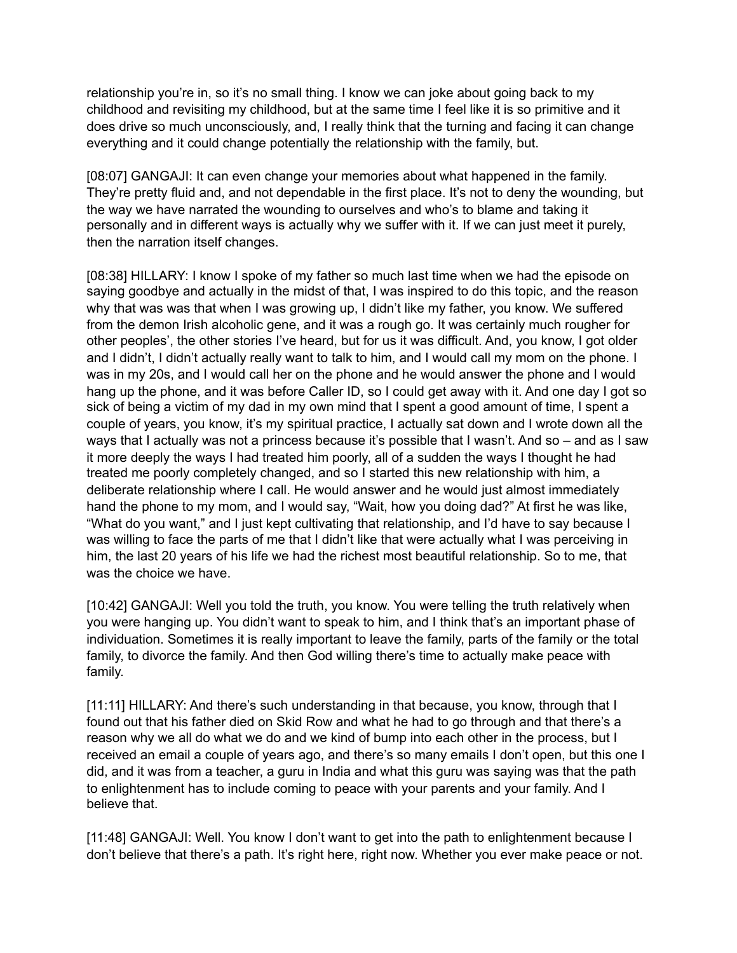relationship you're in, so it's no small thing. I know we can joke about going back to my childhood and revisiting my childhood, but at the same time I feel like it is so primitive and it does drive so much unconsciously, and, I really think that the turning and facing it can change everything and it could change potentially the relationship with the family, but.

[08:07] GANGAJI: It can even change your memories about what happened in the family. They're pretty fluid and, and not dependable in the first place. It's not to deny the wounding, but the way we have narrated the wounding to ourselves and who's to blame and taking it personally and in different ways is actually why we suffer with it. If we can just meet it purely, then the narration itself changes.

[08:38] HILLARY: I know I spoke of my father so much last time when we had the episode on saying goodbye and actually in the midst of that, I was inspired to do this topic, and the reason why that was was that when I was growing up, I didn't like my father, you know. We suffered from the demon Irish alcoholic gene, and it was a rough go. It was certainly much rougher for other peoples', the other stories I've heard, but for us it was difficult. And, you know, I got older and I didn't, I didn't actually really want to talk to him, and I would call my mom on the phone. I was in my 20s, and I would call her on the phone and he would answer the phone and I would hang up the phone, and it was before Caller ID, so I could get away with it. And one day I got so sick of being a victim of my dad in my own mind that I spent a good amount of time, I spent a couple of years, you know, it's my spiritual practice, I actually sat down and I wrote down all the ways that I actually was not a princess because it's possible that I wasn't. And so – and as I saw it more deeply the ways I had treated him poorly, all of a sudden the ways I thought he had treated me poorly completely changed, and so I started this new relationship with him, a deliberate relationship where I call. He would answer and he would just almost immediately hand the phone to my mom, and I would say, "Wait, how you doing dad?" At first he was like, "What do you want," and I just kept cultivating that relationship, and I'd have to say because I was willing to face the parts of me that I didn't like that were actually what I was perceiving in him, the last 20 years of his life we had the richest most beautiful relationship. So to me, that was the choice we have.

[10:42] GANGAJI: Well you told the truth, you know. You were telling the truth relatively when you were hanging up. You didn't want to speak to him, and I think that's an important phase of individuation. Sometimes it is really important to leave the family, parts of the family or the total family, to divorce the family. And then God willing there's time to actually make peace with family.

[11:11] HILLARY: And there's such understanding in that because, you know, through that I found out that his father died on Skid Row and what he had to go through and that there's a reason why we all do what we do and we kind of bump into each other in the process, but I received an email a couple of years ago, and there's so many emails I don't open, but this one I did, and it was from a teacher, a guru in India and what this guru was saying was that the path to enlightenment has to include coming to peace with your parents and your family. And I believe that.

[11:48] GANGAJI: Well. You know I don't want to get into the path to enlightenment because I don't believe that there's a path. It's right here, right now. Whether you ever make peace or not.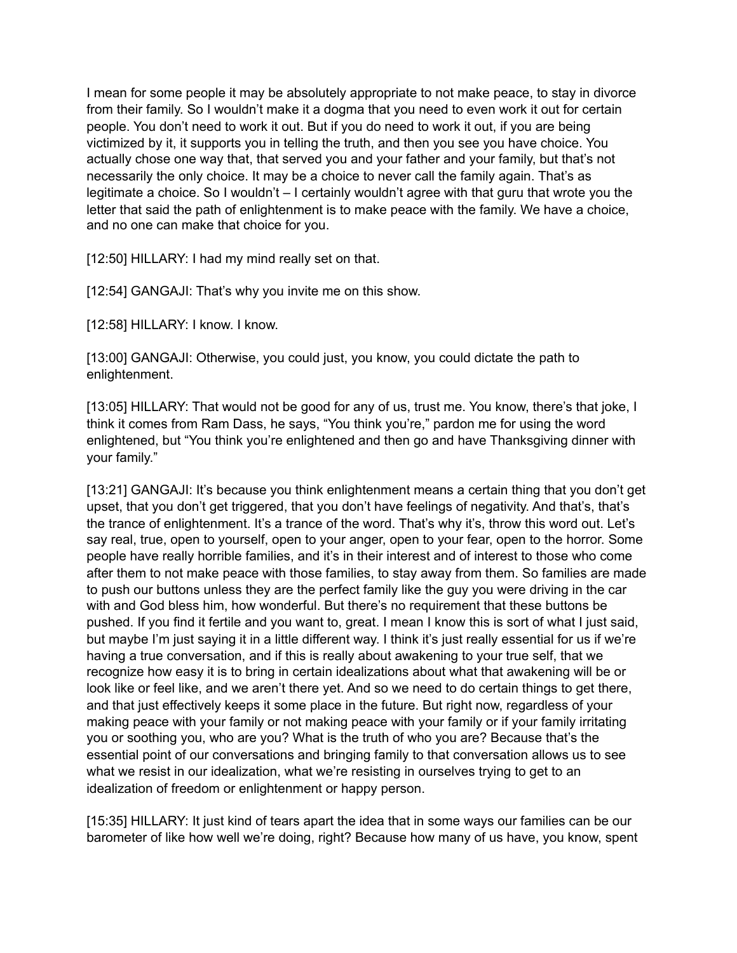I mean for some people it may be absolutely appropriate to not make peace, to stay in divorce from their family. So I wouldn't make it a dogma that you need to even work it out for certain people. You don't need to work it out. But if you do need to work it out, if you are being victimized by it, it supports you in telling the truth, and then you see you have choice. You actually chose one way that, that served you and your father and your family, but that's not necessarily the only choice. It may be a choice to never call the family again. That's as legitimate a choice. So I wouldn't – I certainly wouldn't agree with that guru that wrote you the letter that said the path of enlightenment is to make peace with the family. We have a choice, and no one can make that choice for you.

[12:50] HILLARY: I had my mind really set on that.

[12:54] GANGAJI: That's why you invite me on this show.

[12:58] HILLARY: I know. I know.

[13:00] GANGAJI: Otherwise, you could just, you know, you could dictate the path to enlightenment.

[13:05] HILLARY: That would not be good for any of us, trust me. You know, there's that joke, I think it comes from Ram Dass, he says, "You think you're," pardon me for using the word enlightened, but "You think you're enlightened and then go and have Thanksgiving dinner with your family."

[13:21] GANGAJI: It's because you think enlightenment means a certain thing that you don't get upset, that you don't get triggered, that you don't have feelings of negativity. And that's, that's the trance of enlightenment. It's a trance of the word. That's why it's, throw this word out. Let's say real, true, open to yourself, open to your anger, open to your fear, open to the horror. Some people have really horrible families, and it's in their interest and of interest to those who come after them to not make peace with those families, to stay away from them. So families are made to push our buttons unless they are the perfect family like the guy you were driving in the car with and God bless him, how wonderful. But there's no requirement that these buttons be pushed. If you find it fertile and you want to, great. I mean I know this is sort of what I just said, but maybe I'm just saying it in a little different way. I think it's just really essential for us if we're having a true conversation, and if this is really about awakening to your true self, that we recognize how easy it is to bring in certain idealizations about what that awakening will be or look like or feel like, and we aren't there yet. And so we need to do certain things to get there, and that just effectively keeps it some place in the future. But right now, regardless of your making peace with your family or not making peace with your family or if your family irritating you or soothing you, who are you? What is the truth of who you are? Because that's the essential point of our conversations and bringing family to that conversation allows us to see what we resist in our idealization, what we're resisting in ourselves trying to get to an idealization of freedom or enlightenment or happy person.

[15:35] HILLARY: It just kind of tears apart the idea that in some ways our families can be our barometer of like how well we're doing, right? Because how many of us have, you know, spent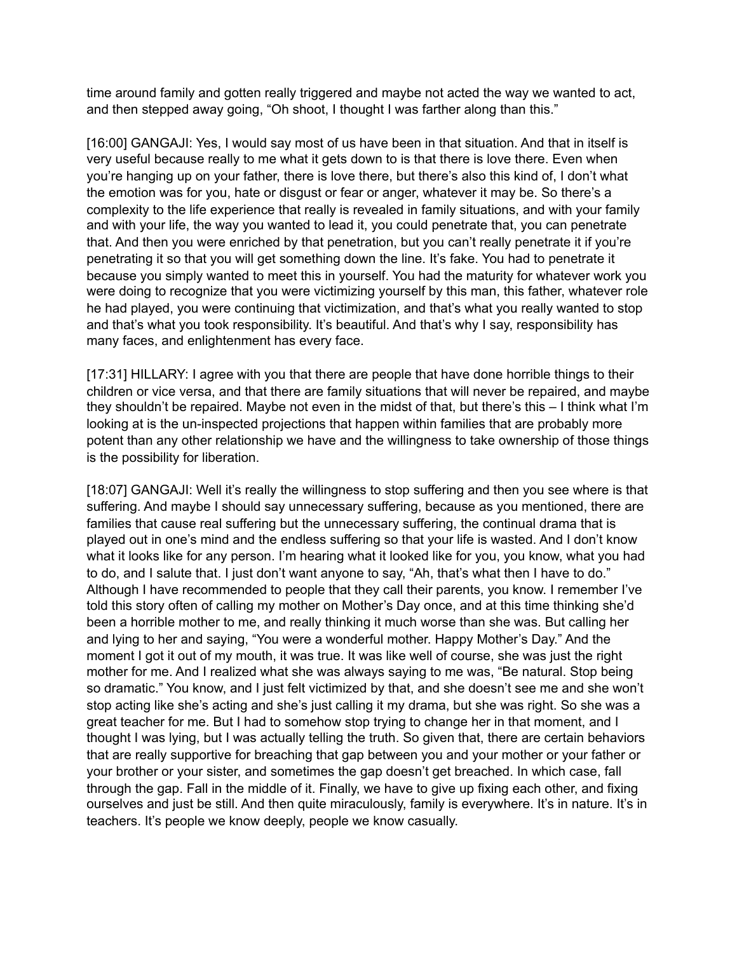time around family and gotten really triggered and maybe not acted the way we wanted to act, and then stepped away going, "Oh shoot, I thought I was farther along than this."

[16:00] GANGAJI: Yes, I would say most of us have been in that situation. And that in itself is very useful because really to me what it gets down to is that there is love there. Even when you're hanging up on your father, there is love there, but there's also this kind of, I don't what the emotion was for you, hate or disgust or fear or anger, whatever it may be. So there's a complexity to the life experience that really is revealed in family situations, and with your family and with your life, the way you wanted to lead it, you could penetrate that, you can penetrate that. And then you were enriched by that penetration, but you can't really penetrate it if you're penetrating it so that you will get something down the line. It's fake. You had to penetrate it because you simply wanted to meet this in yourself. You had the maturity for whatever work you were doing to recognize that you were victimizing yourself by this man, this father, whatever role he had played, you were continuing that victimization, and that's what you really wanted to stop and that's what you took responsibility. It's beautiful. And that's why I say, responsibility has many faces, and enlightenment has every face.

[17:31] HILLARY: I agree with you that there are people that have done horrible things to their children or vice versa, and that there are family situations that will never be repaired, and maybe they shouldn't be repaired. Maybe not even in the midst of that, but there's this – I think what I'm looking at is the un-inspected projections that happen within families that are probably more potent than any other relationship we have and the willingness to take ownership of those things is the possibility for liberation.

[18:07] GANGAJI: Well it's really the willingness to stop suffering and then you see where is that suffering. And maybe I should say unnecessary suffering, because as you mentioned, there are families that cause real suffering but the unnecessary suffering, the continual drama that is played out in one's mind and the endless suffering so that your life is wasted. And I don't know what it looks like for any person. I'm hearing what it looked like for you, you know, what you had to do, and I salute that. I just don't want anyone to say, "Ah, that's what then I have to do." Although I have recommended to people that they call their parents, you know. I remember I've told this story often of calling my mother on Mother's Day once, and at this time thinking she'd been a horrible mother to me, and really thinking it much worse than she was. But calling her and lying to her and saying, "You were a wonderful mother. Happy Mother's Day." And the moment I got it out of my mouth, it was true. It was like well of course, she was just the right mother for me. And I realized what she was always saying to me was, "Be natural. Stop being so dramatic." You know, and I just felt victimized by that, and she doesn't see me and she won't stop acting like she's acting and she's just calling it my drama, but she was right. So she was a great teacher for me. But I had to somehow stop trying to change her in that moment, and I thought I was lying, but I was actually telling the truth. So given that, there are certain behaviors that are really supportive for breaching that gap between you and your mother or your father or your brother or your sister, and sometimes the gap doesn't get breached. In which case, fall through the gap. Fall in the middle of it. Finally, we have to give up fixing each other, and fixing ourselves and just be still. And then quite miraculously, family is everywhere. It's in nature. It's in teachers. It's people we know deeply, people we know casually.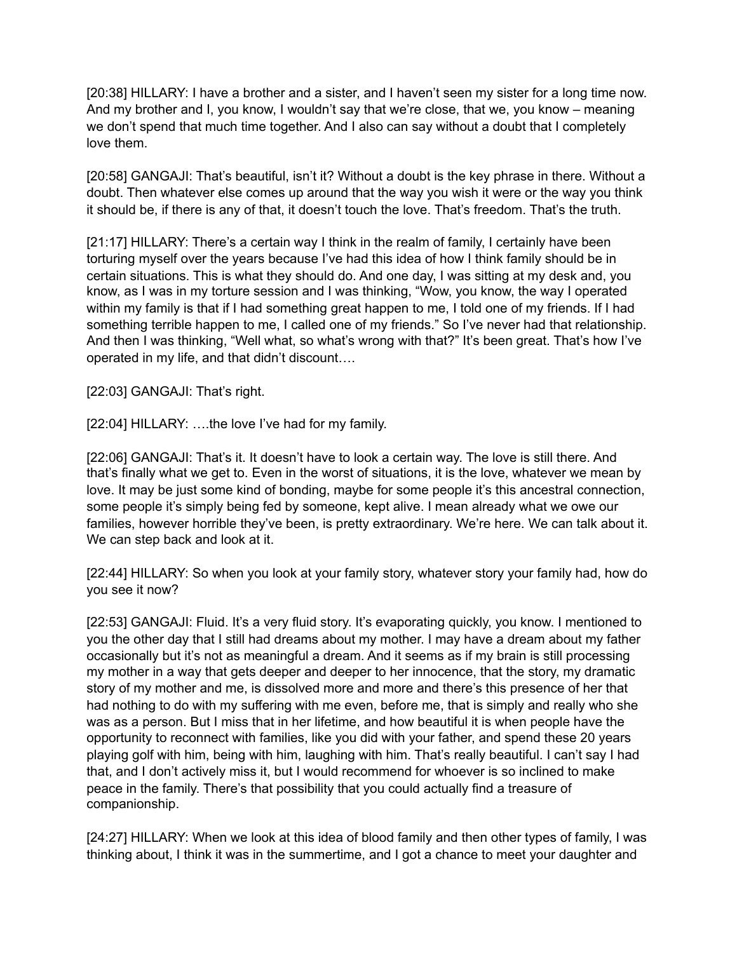[20:38] HILLARY: I have a brother and a sister, and I haven't seen my sister for a long time now. And my brother and I, you know, I wouldn't say that we're close, that we, you know – meaning we don't spend that much time together. And I also can say without a doubt that I completely love them.

[20:58] GANGAJI: That's beautiful, isn't it? Without a doubt is the key phrase in there. Without a doubt. Then whatever else comes up around that the way you wish it were or the way you think it should be, if there is any of that, it doesn't touch the love. That's freedom. That's the truth.

[21:17] HILLARY: There's a certain way I think in the realm of family, I certainly have been torturing myself over the years because I've had this idea of how I think family should be in certain situations. This is what they should do. And one day, I was sitting at my desk and, you know, as I was in my torture session and I was thinking, "Wow, you know, the way I operated within my family is that if I had something great happen to me, I told one of my friends. If I had something terrible happen to me, I called one of my friends." So I've never had that relationship. And then I was thinking, "Well what, so what's wrong with that?" It's been great. That's how I've operated in my life, and that didn't discount….

[22:03] GANGAJI: That's right.

[22:04] HILLARY: ....the love I've had for my family.

[22:06] GANGAJI: That's it. It doesn't have to look a certain way. The love is still there. And that's finally what we get to. Even in the worst of situations, it is the love, whatever we mean by love. It may be just some kind of bonding, maybe for some people it's this ancestral connection, some people it's simply being fed by someone, kept alive. I mean already what we owe our families, however horrible they've been, is pretty extraordinary. We're here. We can talk about it. We can step back and look at it.

[22:44] HILLARY: So when you look at your family story, whatever story your family had, how do you see it now?

[22:53] GANGAJI: Fluid. It's a very fluid story. It's evaporating quickly, you know. I mentioned to you the other day that I still had dreams about my mother. I may have a dream about my father occasionally but it's not as meaningful a dream. And it seems as if my brain is still processing my mother in a way that gets deeper and deeper to her innocence, that the story, my dramatic story of my mother and me, is dissolved more and more and there's this presence of her that had nothing to do with my suffering with me even, before me, that is simply and really who she was as a person. But I miss that in her lifetime, and how beautiful it is when people have the opportunity to reconnect with families, like you did with your father, and spend these 20 years playing golf with him, being with him, laughing with him. That's really beautiful. I can't say I had that, and I don't actively miss it, but I would recommend for whoever is so inclined to make peace in the family. There's that possibility that you could actually find a treasure of companionship.

[24:27] HILLARY: When we look at this idea of blood family and then other types of family, I was thinking about, I think it was in the summertime, and I got a chance to meet your daughter and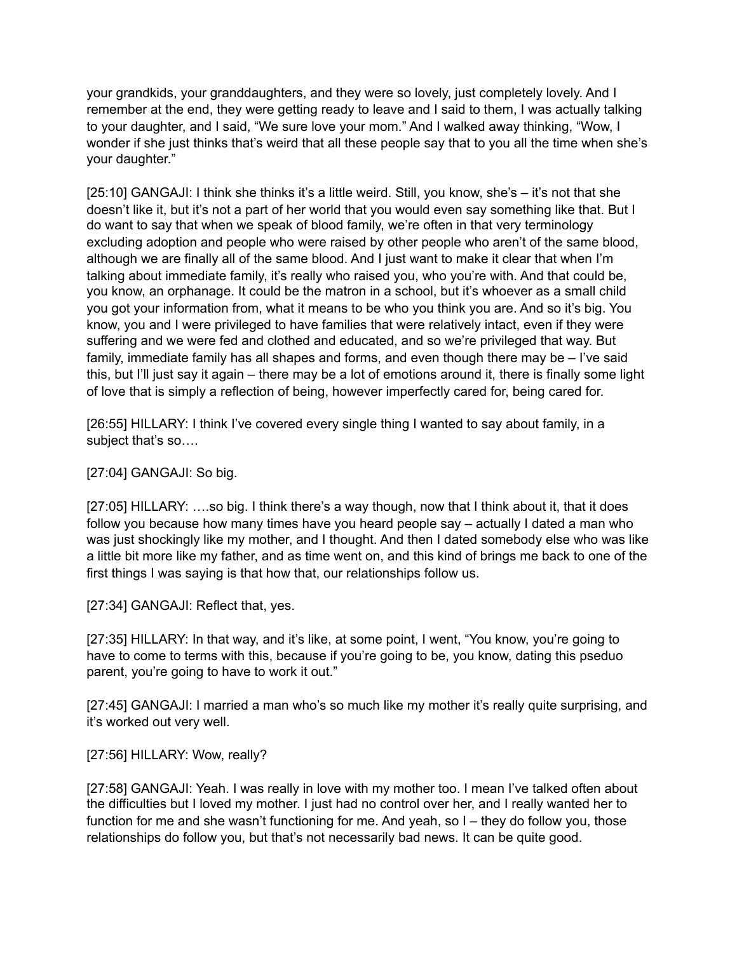your grandkids, your granddaughters, and they were so lovely, just completely lovely. And I remember at the end, they were getting ready to leave and I said to them, I was actually talking to your daughter, and I said, "We sure love your mom." And I walked away thinking, "Wow, I wonder if she just thinks that's weird that all these people say that to you all the time when she's your daughter."

[25:10] GANGAJI: I think she thinks it's a little weird. Still, you know, she's – it's not that she doesn't like it, but it's not a part of her world that you would even say something like that. But I do want to say that when we speak of blood family, we're often in that very terminology excluding adoption and people who were raised by other people who aren't of the same blood, although we are finally all of the same blood. And I just want to make it clear that when I'm talking about immediate family, it's really who raised you, who you're with. And that could be, you know, an orphanage. It could be the matron in a school, but it's whoever as a small child you got your information from, what it means to be who you think you are. And so it's big. You know, you and I were privileged to have families that were relatively intact, even if they were suffering and we were fed and clothed and educated, and so we're privileged that way. But family, immediate family has all shapes and forms, and even though there may be – I've said this, but I'll just say it again – there may be a lot of emotions around it, there is finally some light of love that is simply a reflection of being, however imperfectly cared for, being cared for.

[26:55] HILLARY: I think I've covered every single thing I wanted to say about family, in a subject that's so….

[27:04] GANGAJI: So big.

[27:05] HILLARY: ….so big. I think there's a way though, now that I think about it, that it does follow you because how many times have you heard people say – actually I dated a man who was just shockingly like my mother, and I thought. And then I dated somebody else who was like a little bit more like my father, and as time went on, and this kind of brings me back to one of the first things I was saying is that how that, our relationships follow us.

[27:34] GANGAJI: Reflect that, yes.

[27:35] HILLARY: In that way, and it's like, at some point, I went, "You know, you're going to have to come to terms with this, because if you're going to be, you know, dating this pseduo parent, you're going to have to work it out."

[27:45] GANGAJI: I married a man who's so much like my mother it's really quite surprising, and it's worked out very well.

[27:56] HILLARY: Wow, really?

[27:58] GANGAJI: Yeah. I was really in love with my mother too. I mean I've talked often about the difficulties but I loved my mother. I just had no control over her, and I really wanted her to function for me and she wasn't functioning for me. And yeah, so I – they do follow you, those relationships do follow you, but that's not necessarily bad news. It can be quite good.